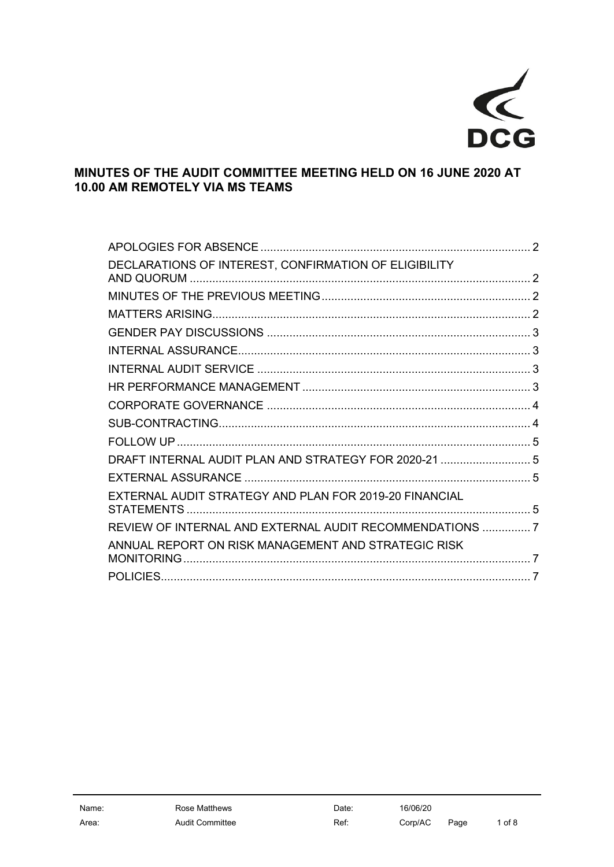

# MINUTES OF THE AUDIT COMMITTEE MEETING HELD ON 16 JUNE 2020 AT 10.00 AM REMOTELY VIA MS TEAMS

| DECLARATIONS OF INTEREST, CONFIRMATION OF ELIGIBILITY   |  |
|---------------------------------------------------------|--|
|                                                         |  |
|                                                         |  |
|                                                         |  |
|                                                         |  |
|                                                         |  |
|                                                         |  |
|                                                         |  |
|                                                         |  |
|                                                         |  |
| DRAFT INTERNAL AUDIT PLAN AND STRATEGY FOR 2020-21  5   |  |
|                                                         |  |
| EXTERNAL AUDIT STRATEGY AND PLAN FOR 2019-20 FINANCIAL  |  |
| REVIEW OF INTERNAL AND EXTERNAL AUDIT RECOMMENDATIONS 7 |  |
| ANNUAL REPORT ON RISK MANAGEMENT AND STRATEGIC RISK     |  |
|                                                         |  |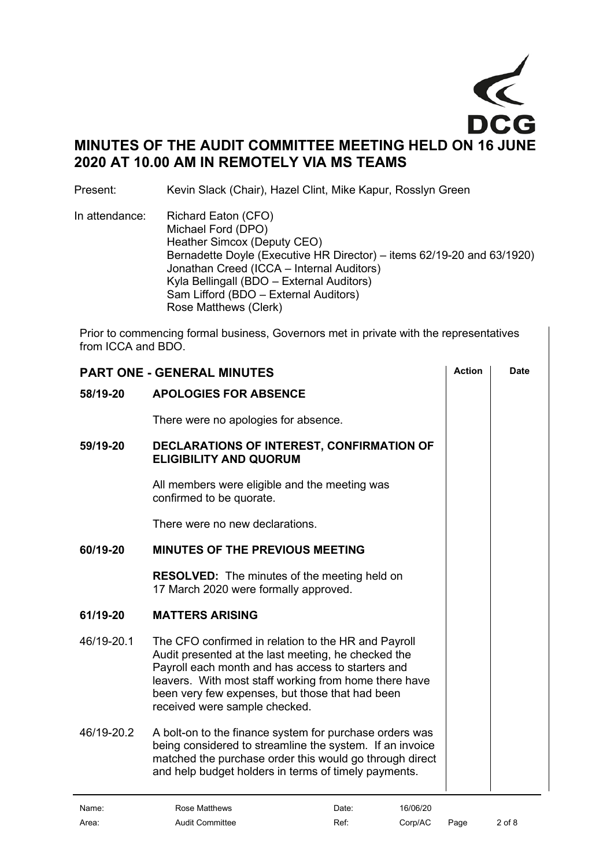

Present: Kevin Slack (Chair), Hazel Clint, Mike Kapur, Rosslyn Green

In attendance: Richard Eaton (CFO) Michael Ford (DPO) Heather Simcox (Deputy CEO) Bernadette Doyle (Executive HR Director) – items 62/19-20 and 63/1920) Jonathan Creed (ICCA – Internal Auditors) Kyla Bellingall (BDO – External Auditors) Sam Lifford (BDO – External Auditors) Rose Matthews (Clerk)

Prior to commencing formal business, Governors met in private with the representatives from ICCA and BDO.

<span id="page-1-3"></span><span id="page-1-2"></span><span id="page-1-1"></span><span id="page-1-0"></span>

| <b>PART ONE - GENERAL MINUTES</b> |                                                                                                                                                                                                                                                                                                              |  | <b>Date</b> |
|-----------------------------------|--------------------------------------------------------------------------------------------------------------------------------------------------------------------------------------------------------------------------------------------------------------------------------------------------------------|--|-------------|
| 58/19-20                          | <b>APOLOGIES FOR ABSENCE</b>                                                                                                                                                                                                                                                                                 |  |             |
|                                   | There were no apologies for absence.                                                                                                                                                                                                                                                                         |  |             |
| 59/19-20                          | DECLARATIONS OF INTEREST, CONFIRMATION OF<br><b>ELIGIBILITY AND QUORUM</b>                                                                                                                                                                                                                                   |  |             |
|                                   | All members were eligible and the meeting was<br>confirmed to be quorate.                                                                                                                                                                                                                                    |  |             |
|                                   | There were no new declarations.                                                                                                                                                                                                                                                                              |  |             |
| 60/19-20                          | <b>MINUTES OF THE PREVIOUS MEETING</b>                                                                                                                                                                                                                                                                       |  |             |
|                                   | <b>RESOLVED:</b> The minutes of the meeting held on<br>17 March 2020 were formally approved.                                                                                                                                                                                                                 |  |             |
| 61/19-20                          | <b>MATTERS ARISING</b>                                                                                                                                                                                                                                                                                       |  |             |
| 46/19-20.1                        | The CFO confirmed in relation to the HR and Payroll<br>Audit presented at the last meeting, he checked the<br>Payroll each month and has access to starters and<br>leavers. With most staff working from home there have<br>been very few expenses, but those that had been<br>received were sample checked. |  |             |
| 46/19-20.2                        | A bolt-on to the finance system for purchase orders was<br>being considered to streamline the system. If an invoice<br>matched the purchase order this would go through direct<br>and help budget holders in terms of timely payments.                                                                       |  |             |
|                                   |                                                                                                                                                                                                                                                                                                              |  |             |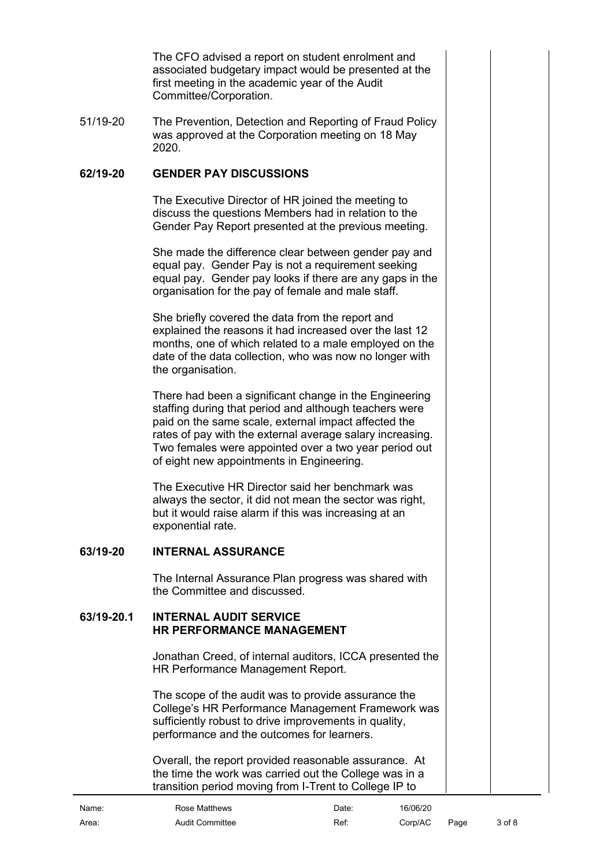The CFO advised a report on student enrolment and associated budgetary impact would be presented at the first meeting in the academic year of the Audit Committee/Corporation.

51/19-20 The Prevention, Detection and Reporting of Fraud Policy was approved at the Corporation meeting on 18 May 2020.

# **62/19-20 GENDER PAY DISCUSSIONS**

<span id="page-2-0"></span>The Executive Director of HR joined the meeting to discuss the questions Members had in relation to the Gender Pay Report presented at the previous meeting.

She made the difference clear between gender pay and equal pay. Gender Pay is not a requirement seeking equal pay. Gender pay looks if there are any gaps in the organisation for the pay of female and male staff.

She briefly covered the data from the report and explained the reasons it had increased over the last 12 months, one of which related to a male employed on the date of the data collection, who was now no longer with the organisation.

There had been a significant change in the Engineering staffing during that period and although teachers were paid on the same scale, external impact affected the rates of pay with the external average salary increasing. Two females were appointed over a two year period out of eight new appointments in Engineering.

The Executive HR Director said her benchmark was always the sector, it did not mean the sector was right, but it would raise alarm if this was increasing at an exponential rate.

# **63/19-20 INTERNAL ASSURANCE**

<span id="page-2-2"></span><span id="page-2-1"></span>The Internal Assurance Plan progress was shared with the Committee and discussed.

#### **63/19-20.1 INTERNAL AUDIT SERVICE HR PERFORMANCE MANAGEMENT**

<span id="page-2-3"></span>Jonathan Creed, of internal auditors, ICCA presented the HR Performance Management Report.

The scope of the audit was to provide assurance the College's HR Performance Management Framework was sufficiently robust to drive improvements in quality, performance and the outcomes for learners.

Overall, the report provided reasonable assurance. At the time the work was carried out the College was in a transition period moving from I-Trent to College IP to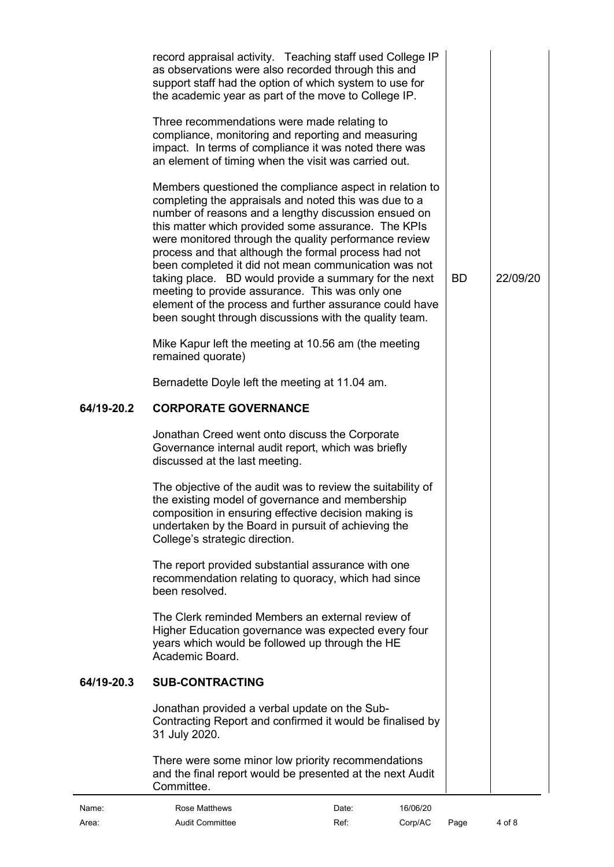<span id="page-3-1"></span><span id="page-3-0"></span>

|            | record appraisal activity. Teaching staff used College IP<br>as observations were also recorded through this and<br>support staff had the option of which system to use for<br>the academic year as part of the move to College IP.<br>Three recommendations were made relating to<br>compliance, monitoring and reporting and measuring<br>impact. In terms of compliance it was noted there was<br>an element of timing when the visit was carried out.<br>Members questioned the compliance aspect in relation to<br>completing the appraisals and noted this was due to a<br>number of reasons and a lengthy discussion ensued on<br>this matter which provided some assurance. The KPIs<br>were monitored through the quality performance review<br>process and that although the formal process had not<br>been completed it did not mean communication was not<br>taking place. BD would provide a summary for the next<br>meeting to provide assurance. This was only one<br>element of the process and further assurance could have<br>been sought through discussions with the quality team.<br>Mike Kapur left the meeting at 10.56 am (the meeting<br>remained quorate)<br>Bernadette Doyle left the meeting at 11.04 am. |          | BD. | 22/09/20 |
|------------|---------------------------------------------------------------------------------------------------------------------------------------------------------------------------------------------------------------------------------------------------------------------------------------------------------------------------------------------------------------------------------------------------------------------------------------------------------------------------------------------------------------------------------------------------------------------------------------------------------------------------------------------------------------------------------------------------------------------------------------------------------------------------------------------------------------------------------------------------------------------------------------------------------------------------------------------------------------------------------------------------------------------------------------------------------------------------------------------------------------------------------------------------------------------------------------------------------------------------------------|----------|-----|----------|
| 64/19-20.2 | <b>CORPORATE GOVERNANCE</b>                                                                                                                                                                                                                                                                                                                                                                                                                                                                                                                                                                                                                                                                                                                                                                                                                                                                                                                                                                                                                                                                                                                                                                                                           |          |     |          |
|            | Jonathan Creed went onto discuss the Corporate<br>Governance internal audit report, which was briefly<br>discussed at the last meeting.                                                                                                                                                                                                                                                                                                                                                                                                                                                                                                                                                                                                                                                                                                                                                                                                                                                                                                                                                                                                                                                                                               |          |     |          |
|            | The objective of the audit was to review the suitability of<br>the existing model of governance and membership<br>composition in ensuring effective decision making is<br>undertaken by the Board in pursuit of achieving the<br>College's strategic direction.                                                                                                                                                                                                                                                                                                                                                                                                                                                                                                                                                                                                                                                                                                                                                                                                                                                                                                                                                                       |          |     |          |
|            | The report provided substantial assurance with one<br>recommendation relating to quoracy, which had since<br>been resolved.                                                                                                                                                                                                                                                                                                                                                                                                                                                                                                                                                                                                                                                                                                                                                                                                                                                                                                                                                                                                                                                                                                           |          |     |          |
|            | The Clerk reminded Members an external review of<br>Higher Education governance was expected every four<br>years which would be followed up through the HE<br>Academic Board.                                                                                                                                                                                                                                                                                                                                                                                                                                                                                                                                                                                                                                                                                                                                                                                                                                                                                                                                                                                                                                                         |          |     |          |
| 64/19-20.3 | <b>SUB-CONTRACTING</b>                                                                                                                                                                                                                                                                                                                                                                                                                                                                                                                                                                                                                                                                                                                                                                                                                                                                                                                                                                                                                                                                                                                                                                                                                |          |     |          |
|            | Jonathan provided a verbal update on the Sub-<br>Contracting Report and confirmed it would be finalised by<br>31 July 2020.                                                                                                                                                                                                                                                                                                                                                                                                                                                                                                                                                                                                                                                                                                                                                                                                                                                                                                                                                                                                                                                                                                           |          |     |          |
|            | There were some minor low priority recommendations<br>and the final report would be presented at the next Audit<br>Committee.                                                                                                                                                                                                                                                                                                                                                                                                                                                                                                                                                                                                                                                                                                                                                                                                                                                                                                                                                                                                                                                                                                         |          |     |          |
| Name:      | Rose Matthews<br>Date:                                                                                                                                                                                                                                                                                                                                                                                                                                                                                                                                                                                                                                                                                                                                                                                                                                                                                                                                                                                                                                                                                                                                                                                                                | 16/06/20 |     |          |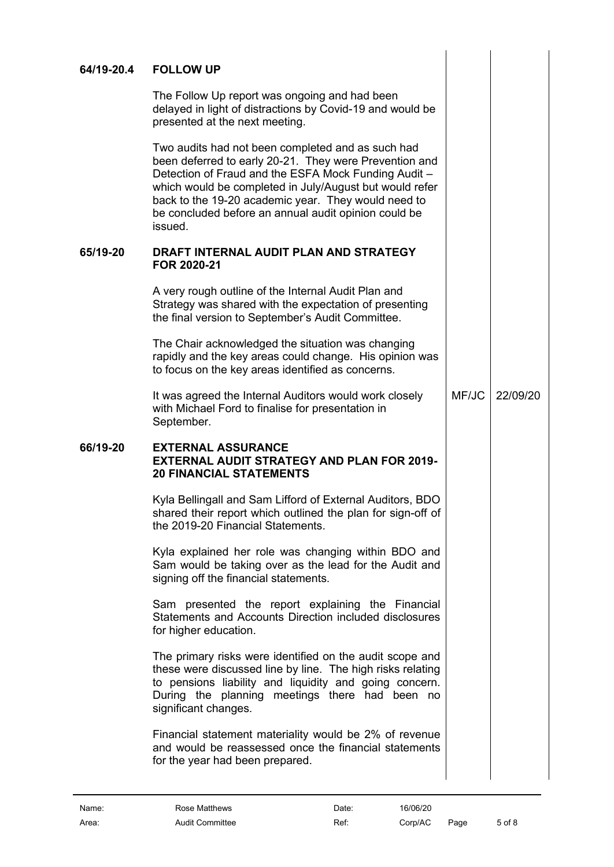# **64/19-20.4 FOLLOW UP**

<span id="page-4-0"></span>The Follow Up report was ongoing and had been delayed in light of distractions by Covid-19 and would be presented at the next meeting.

Two audits had not been completed and as such had been deferred to early 20-21. They were Prevention and Detection of Fraud and the ESFA Mock Funding Audit – which would be completed in July/August but would refer back to the 19-20 academic year. They would need to be concluded before an annual audit opinion could be issued.

#### **65/19-20 DRAFT INTERNAL AUDIT PLAN AND STRATEGY FOR 2020-21**

<span id="page-4-1"></span>A very rough outline of the Internal Audit Plan and Strategy was shared with the expectation of presenting the final version to September's Audit Committee.

The Chair acknowledged the situation was changing rapidly and the key areas could change. His opinion was to focus on the key areas identified as concerns.

<span id="page-4-2"></span>It was agreed the Internal Auditors would work closely with Michael Ford to finalise for presentation in September. MF/JC 22/09/20

# **66/19-20 EXTERNAL ASSURANCE EXTERNAL AUDIT STRATEGY AND PLAN FOR 2019- 20 FINANCIAL STATEMENTS**

<span id="page-4-3"></span>Kyla Bellingall and Sam Lifford of External Auditors, BDO shared their report which outlined the plan for sign-off of the 2019-20 Financial Statements.

Kyla explained her role was changing within BDO and Sam would be taking over as the lead for the Audit and signing off the financial statements.

Sam presented the report explaining the Financial Statements and Accounts Direction included disclosures for higher education.

The primary risks were identified on the audit scope and these were discussed line by line. The high risks relating to pensions liability and liquidity and going concern. During the planning meetings there had been no significant changes.

Financial statement materiality would be 2% of revenue and would be reassessed once the financial statements for the year had been prepared.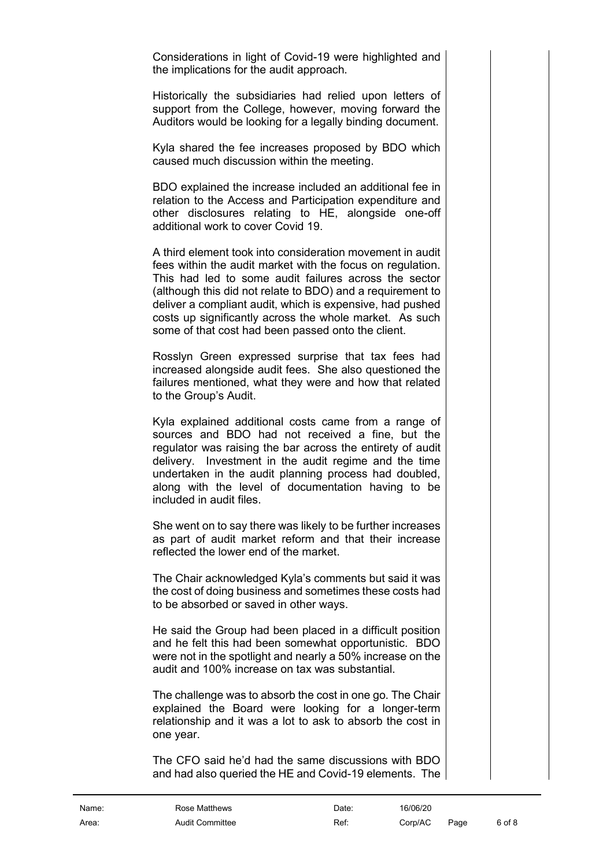Considerations in light of Covid-19 were highlighted and the implications for the audit approach.

Historically the subsidiaries had relied upon letters of support from the College, however, moving forward the Auditors would be looking for a legally binding document.

Kyla shared the fee increases proposed by BDO which caused much discussion within the meeting.

BDO explained the increase included an additional fee in relation to the Access and Participation expenditure and other disclosures relating to HE, alongside one-off additional work to cover Covid 19.

A third element took into consideration movement in audit fees within the audit market with the focus on regulation. This had led to some audit failures across the sector (although this did not relate to BDO) and a requirement to deliver a compliant audit, which is expensive, had pushed costs up significantly across the whole market. As such some of that cost had been passed onto the client.

Rosslyn Green expressed surprise that tax fees had increased alongside audit fees. She also questioned the failures mentioned, what they were and how that related to the Group's Audit.

Kyla explained additional costs came from a range of sources and BDO had not received a fine, but the regulator was raising the bar across the entirety of audit delivery. Investment in the audit regime and the time undertaken in the audit planning process had doubled, along with the level of documentation having to be included in audit files.

She went on to say there was likely to be further increases as part of audit market reform and that their increase reflected the lower end of the market.

The Chair acknowledged Kyla's comments but said it was the cost of doing business and sometimes these costs had to be absorbed or saved in other ways.

He said the Group had been placed in a difficult position and he felt this had been somewhat opportunistic. BDO were not in the spotlight and nearly a 50% increase on the audit and 100% increase on tax was substantial.

The challenge was to absorb the cost in one go. The Chair explained the Board were looking for a longer-term relationship and it was a lot to ask to absorb the cost in one year.

The CFO said he'd had the same discussions with BDO and had also queried the HE and Covid-19 elements. The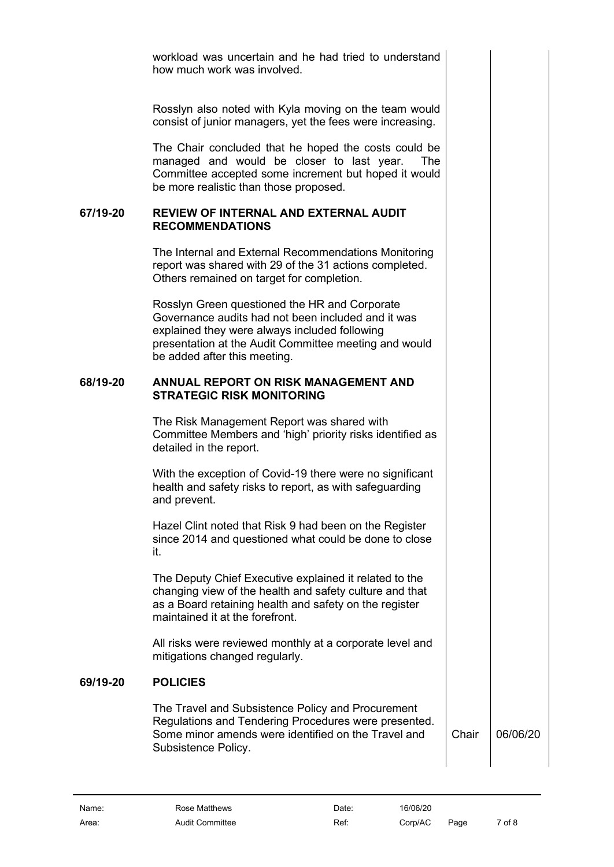workload was uncertain and he had tried to understand how much work was involved.

Rosslyn also noted with Kyla moving on the team would consist of junior managers, yet the fees were increasing.

The Chair concluded that he hoped the costs could be managed and would be closer to last year. The Committee accepted some increment but hoped it would be more realistic than those proposed.

#### **67/19-20 REVIEW OF INTERNAL AND EXTERNAL AUDIT RECOMMENDATIONS**

<span id="page-6-0"></span>The Internal and External Recommendations Monitoring report was shared with 29 of the 31 actions completed. Others remained on target for completion.

Rosslyn Green questioned the HR and Corporate Governance audits had not been included and it was explained they were always included following presentation at the Audit Committee meeting and would be added after this meeting.

# **68/19-20 ANNUAL REPORT ON RISK MANAGEMENT AND STRATEGIC RISK MONITORING**

<span id="page-6-1"></span>The Risk Management Report was shared with Committee Members and 'high' priority risks identified as detailed in the report.

With the exception of Covid-19 there were no significant health and safety risks to report, as with safeguarding and prevent.

Hazel Clint noted that Risk 9 had been on the Register since 2014 and questioned what could be done to close it.

The Deputy Chief Executive explained it related to the changing view of the health and safety culture and that as a Board retaining health and safety on the register maintained it at the forefront.

All risks were reviewed monthly at a corporate level and mitigations changed regularly.

# **69/19-20 POLICIES**

<span id="page-6-2"></span>The Travel and Subsistence Policy and Procurement Regulations and Tendering Procedures were presented. Some minor amends were identified on the Travel and Subsistence Policy.

Chair 06/06/20